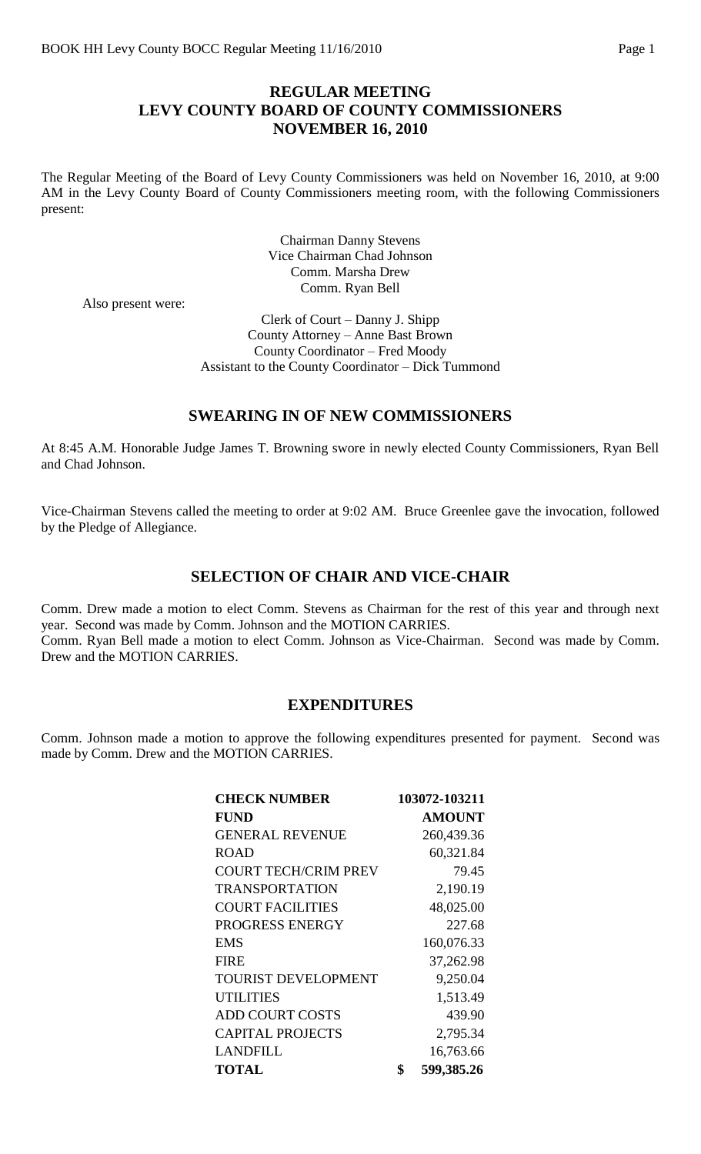### **REGULAR MEETING LEVY COUNTY BOARD OF COUNTY COMMISSIONERS NOVEMBER 16, 2010**

The Regular Meeting of the Board of Levy County Commissioners was held on November 16, 2010, at 9:00 AM in the Levy County Board of County Commissioners meeting room, with the following Commissioners present:

> Chairman Danny Stevens Vice Chairman Chad Johnson Comm. Marsha Drew Comm. Ryan Bell

Also present were:

Clerk of Court – Danny J. Shipp County Attorney – Anne Bast Brown County Coordinator – Fred Moody Assistant to the County Coordinator – Dick Tummond

#### **SWEARING IN OF NEW COMMISSIONERS**

At 8:45 A.M. Honorable Judge James T. Browning swore in newly elected County Commissioners, Ryan Bell and Chad Johnson.

Vice-Chairman Stevens called the meeting to order at 9:02 AM. Bruce Greenlee gave the invocation, followed by the Pledge of Allegiance.

#### **SELECTION OF CHAIR AND VICE-CHAIR**

Comm. Drew made a motion to elect Comm. Stevens as Chairman for the rest of this year and through next year. Second was made by Comm. Johnson and the MOTION CARRIES. Comm. Ryan Bell made a motion to elect Comm. Johnson as Vice-Chairman. Second was made by Comm. Drew and the MOTION CARRIES.

#### **EXPENDITURES**

Comm. Johnson made a motion to approve the following expenditures presented for payment. Second was made by Comm. Drew and the MOTION CARRIES.

| <b>CHECK NUMBER</b>         | 103072-103211    |
|-----------------------------|------------------|
| <b>FUND</b>                 | <b>AMOUNT</b>    |
| <b>GENERAL REVENUE</b>      | 260,439.36       |
| <b>ROAD</b>                 | 60,321.84        |
| <b>COURT TECH/CRIM PREV</b> | 79.45            |
| <b>TRANSPORTATION</b>       | 2,190.19         |
| <b>COURT FACILITIES</b>     | 48,025.00        |
| PROGRESS ENERGY             | 227.68           |
| <b>EMS</b>                  | 160,076.33       |
| <b>FIRE</b>                 | 37,262.98        |
| TOURIST DEVELOPMENT         | 9,250.04         |
| <b>UTILITIES</b>            | 1,513.49         |
| <b>ADD COURT COSTS</b>      | 439.90           |
| <b>CAPITAL PROJECTS</b>     | 2,795.34         |
| <b>LANDFILL</b>             | 16,763.66        |
| <b>TOTAL</b>                | \$<br>599,385.26 |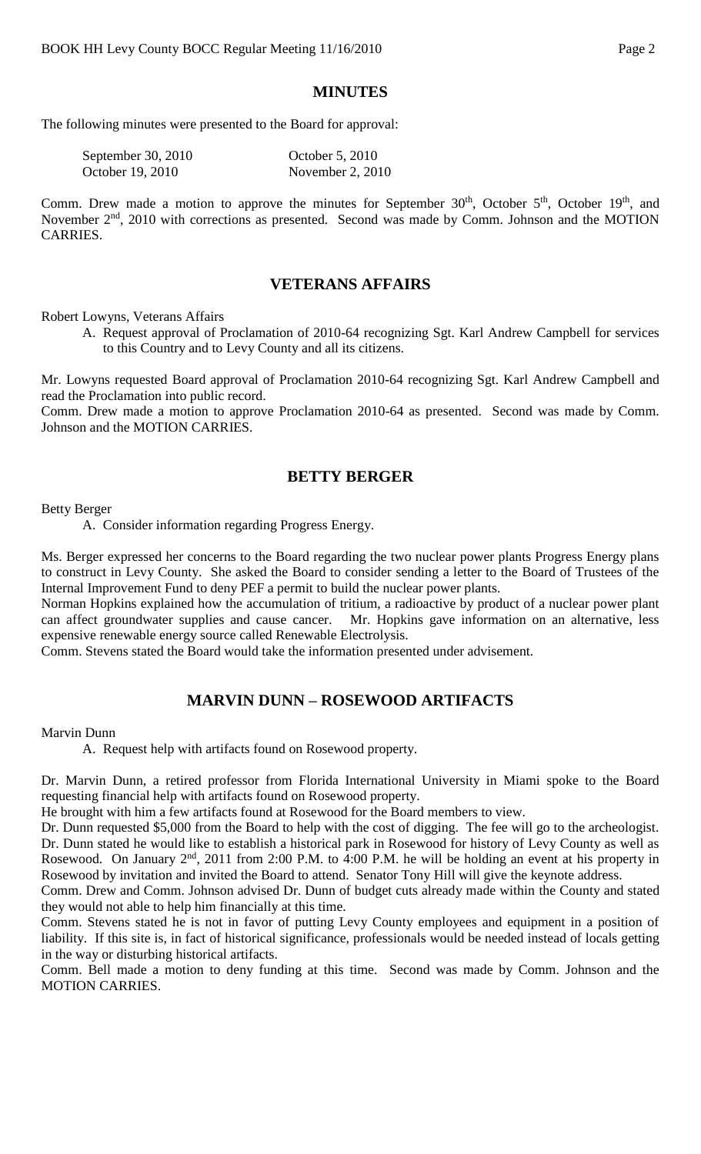#### **MINUTES**

The following minutes were presented to the Board for approval:

| September 30, $2010$ | October 5, 2010    |
|----------------------|--------------------|
| October 19, 2010     | November 2, $2010$ |

Comm. Drew made a motion to approve the minutes for September  $30<sup>th</sup>$ , October  $5<sup>th</sup>$ , October  $19<sup>th</sup>$ , and November  $2<sup>nd</sup>$ , 2010 with corrections as presented. Second was made by Comm. Johnson and the MOTION CARRIES.

#### **VETERANS AFFAIRS**

Robert Lowyns, Veterans Affairs

A. Request approval of Proclamation of 2010-64 recognizing Sgt. Karl Andrew Campbell for services to this Country and to Levy County and all its citizens.

Mr. Lowyns requested Board approval of Proclamation 2010-64 recognizing Sgt. Karl Andrew Campbell and read the Proclamation into public record.

Comm. Drew made a motion to approve Proclamation 2010-64 as presented. Second was made by Comm. Johnson and the MOTION CARRIES.

### **BETTY BERGER**

Betty Berger

A. Consider information regarding Progress Energy.

Ms. Berger expressed her concerns to the Board regarding the two nuclear power plants Progress Energy plans to construct in Levy County. She asked the Board to consider sending a letter to the Board of Trustees of the Internal Improvement Fund to deny PEF a permit to build the nuclear power plants.

Norman Hopkins explained how the accumulation of tritium, a radioactive by product of a nuclear power plant can affect groundwater supplies and cause cancer. Mr. Hopkins gave information on an alternative, less expensive renewable energy source called Renewable Electrolysis.

Comm. Stevens stated the Board would take the information presented under advisement.

# **MARVIN DUNN – ROSEWOOD ARTIFACTS**

Marvin Dunn

A. Request help with artifacts found on Rosewood property.

Dr. Marvin Dunn, a retired professor from Florida International University in Miami spoke to the Board requesting financial help with artifacts found on Rosewood property.

He brought with him a few artifacts found at Rosewood for the Board members to view.

Dr. Dunn requested \$5,000 from the Board to help with the cost of digging. The fee will go to the archeologist. Dr. Dunn stated he would like to establish a historical park in Rosewood for history of Levy County as well as Rosewood. On January  $2^{nd}$ , 2011 from 2:00 P.M. to 4:00 P.M. he will be holding an event at his property in Rosewood by invitation and invited the Board to attend. Senator Tony Hill will give the keynote address.

Comm. Drew and Comm. Johnson advised Dr. Dunn of budget cuts already made within the County and stated they would not able to help him financially at this time.

Comm. Stevens stated he is not in favor of putting Levy County employees and equipment in a position of liability. If this site is, in fact of historical significance, professionals would be needed instead of locals getting in the way or disturbing historical artifacts.

Comm. Bell made a motion to deny funding at this time. Second was made by Comm. Johnson and the MOTION CARRIES.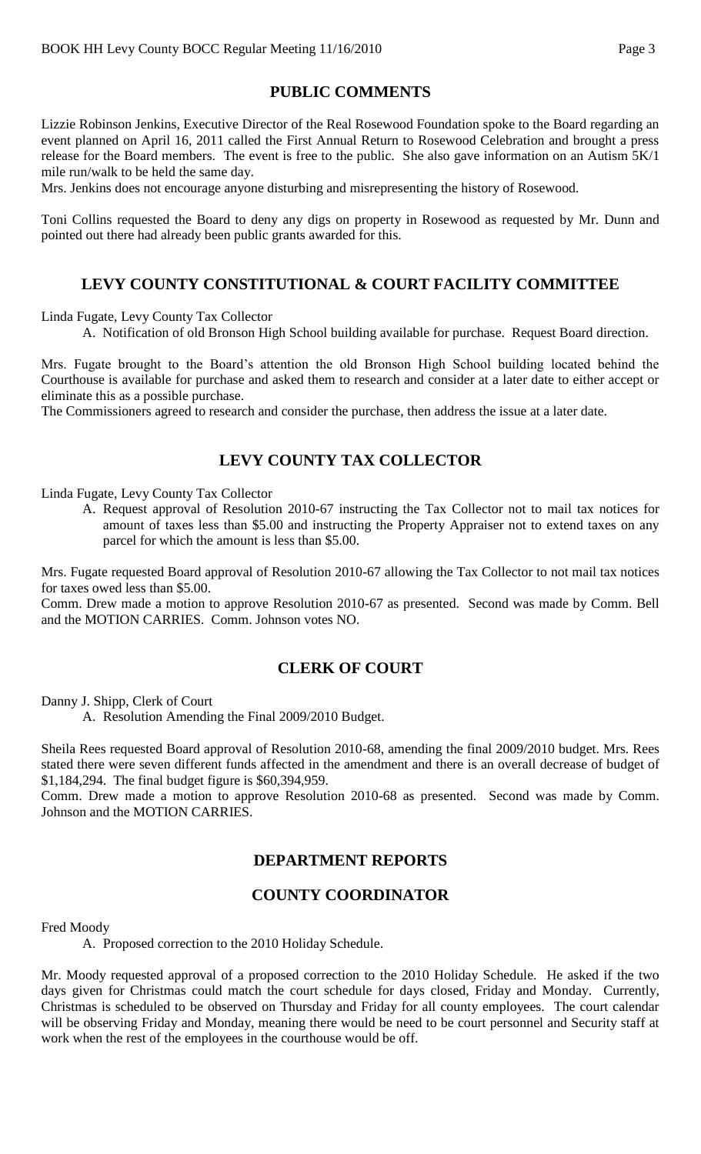### **PUBLIC COMMENTS**

Lizzie Robinson Jenkins, Executive Director of the Real Rosewood Foundation spoke to the Board regarding an event planned on April 16, 2011 called the First Annual Return to Rosewood Celebration and brought a press release for the Board members. The event is free to the public. She also gave information on an Autism 5K/1 mile run/walk to be held the same day.

Mrs. Jenkins does not encourage anyone disturbing and misrepresenting the history of Rosewood.

Toni Collins requested the Board to deny any digs on property in Rosewood as requested by Mr. Dunn and pointed out there had already been public grants awarded for this.

# **LEVY COUNTY CONSTITUTIONAL & COURT FACILITY COMMITTEE**

Linda Fugate, Levy County Tax Collector

A. Notification of old Bronson High School building available for purchase. Request Board direction.

Mrs. Fugate brought to the Board's attention the old Bronson High School building located behind the Courthouse is available for purchase and asked them to research and consider at a later date to either accept or eliminate this as a possible purchase.

The Commissioners agreed to research and consider the purchase, then address the issue at a later date.

## **LEVY COUNTY TAX COLLECTOR**

Linda Fugate, Levy County Tax Collector

A. Request approval of Resolution 2010-67 instructing the Tax Collector not to mail tax notices for amount of taxes less than \$5.00 and instructing the Property Appraiser not to extend taxes on any parcel for which the amount is less than \$5.00.

Mrs. Fugate requested Board approval of Resolution 2010-67 allowing the Tax Collector to not mail tax notices for taxes owed less than \$5.00.

Comm. Drew made a motion to approve Resolution 2010-67 as presented. Second was made by Comm. Bell and the MOTION CARRIES. Comm. Johnson votes NO.

## **CLERK OF COURT**

Danny J. Shipp, Clerk of Court

A. Resolution Amending the Final 2009/2010 Budget.

Sheila Rees requested Board approval of Resolution 2010-68, amending the final 2009/2010 budget. Mrs. Rees stated there were seven different funds affected in the amendment and there is an overall decrease of budget of \$1,184,294. The final budget figure is \$60,394,959.

Comm. Drew made a motion to approve Resolution 2010-68 as presented. Second was made by Comm. Johnson and the MOTION CARRIES.

## **DEPARTMENT REPORTS**

# **COUNTY COORDINATOR**

#### Fred Moody

A. Proposed correction to the 2010 Holiday Schedule.

Mr. Moody requested approval of a proposed correction to the 2010 Holiday Schedule. He asked if the two days given for Christmas could match the court schedule for days closed, Friday and Monday. Currently, Christmas is scheduled to be observed on Thursday and Friday for all county employees. The court calendar will be observing Friday and Monday, meaning there would be need to be court personnel and Security staff at work when the rest of the employees in the courthouse would be off.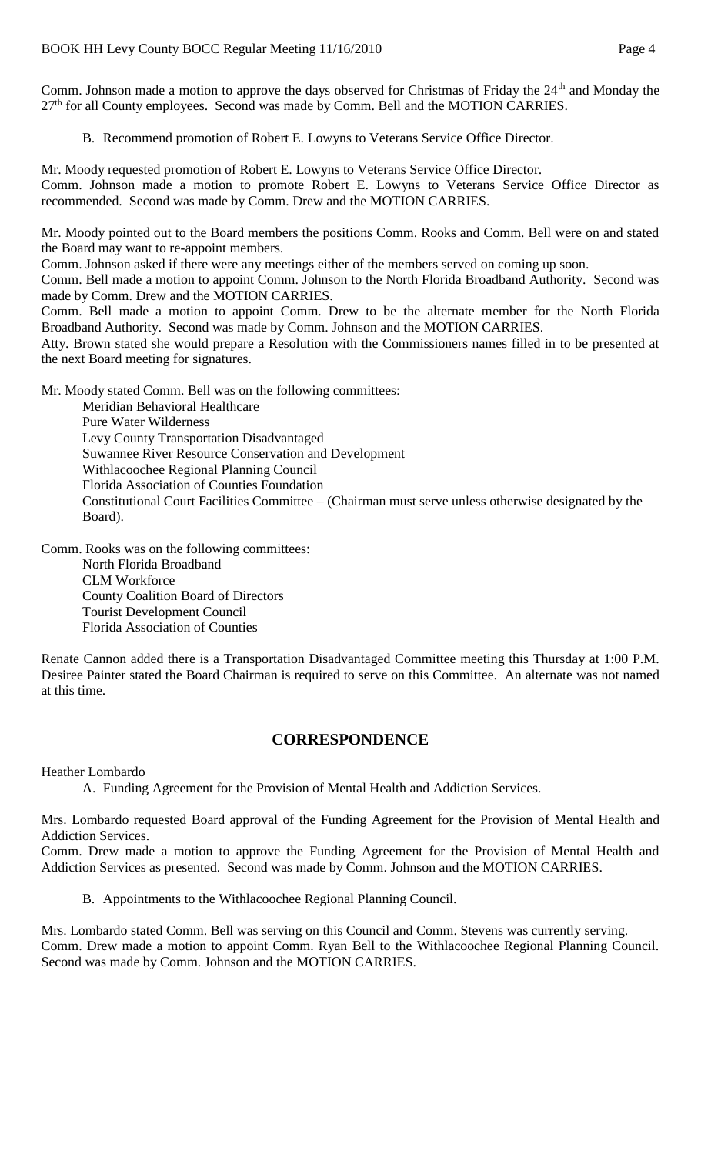Comm. Johnson made a motion to approve the days observed for Christmas of Friday the 24<sup>th</sup> and Monday the  $27<sup>th</sup>$  for all County employees. Second was made by Comm. Bell and the MOTION CARRIES.

B. Recommend promotion of Robert E. Lowyns to Veterans Service Office Director.

Mr. Moody requested promotion of Robert E. Lowyns to Veterans Service Office Director. Comm. Johnson made a motion to promote Robert E. Lowyns to Veterans Service Office Director as recommended. Second was made by Comm. Drew and the MOTION CARRIES.

Mr. Moody pointed out to the Board members the positions Comm. Rooks and Comm. Bell were on and stated the Board may want to re-appoint members.

Comm. Johnson asked if there were any meetings either of the members served on coming up soon.

Comm. Bell made a motion to appoint Comm. Johnson to the North Florida Broadband Authority. Second was made by Comm. Drew and the MOTION CARRIES.

Comm. Bell made a motion to appoint Comm. Drew to be the alternate member for the North Florida Broadband Authority. Second was made by Comm. Johnson and the MOTION CARRIES.

Atty. Brown stated she would prepare a Resolution with the Commissioners names filled in to be presented at the next Board meeting for signatures.

Mr. Moody stated Comm. Bell was on the following committees:

Meridian Behavioral Healthcare Pure Water Wilderness Levy County Transportation Disadvantaged Suwannee River Resource Conservation and Development Withlacoochee Regional Planning Council Florida Association of Counties Foundation Constitutional Court Facilities Committee – (Chairman must serve unless otherwise designated by the Board).

Comm. Rooks was on the following committees:

North Florida Broadband CLM Workforce County Coalition Board of Directors Tourist Development Council Florida Association of Counties

Renate Cannon added there is a Transportation Disadvantaged Committee meeting this Thursday at 1:00 P.M. Desiree Painter stated the Board Chairman is required to serve on this Committee. An alternate was not named at this time.

## **CORRESPONDENCE**

Heather Lombardo

A. Funding Agreement for the Provision of Mental Health and Addiction Services.

Mrs. Lombardo requested Board approval of the Funding Agreement for the Provision of Mental Health and Addiction Services.

Comm. Drew made a motion to approve the Funding Agreement for the Provision of Mental Health and Addiction Services as presented. Second was made by Comm. Johnson and the MOTION CARRIES.

B. Appointments to the Withlacoochee Regional Planning Council.

Mrs. Lombardo stated Comm. Bell was serving on this Council and Comm. Stevens was currently serving. Comm. Drew made a motion to appoint Comm. Ryan Bell to the Withlacoochee Regional Planning Council. Second was made by Comm. Johnson and the MOTION CARRIES.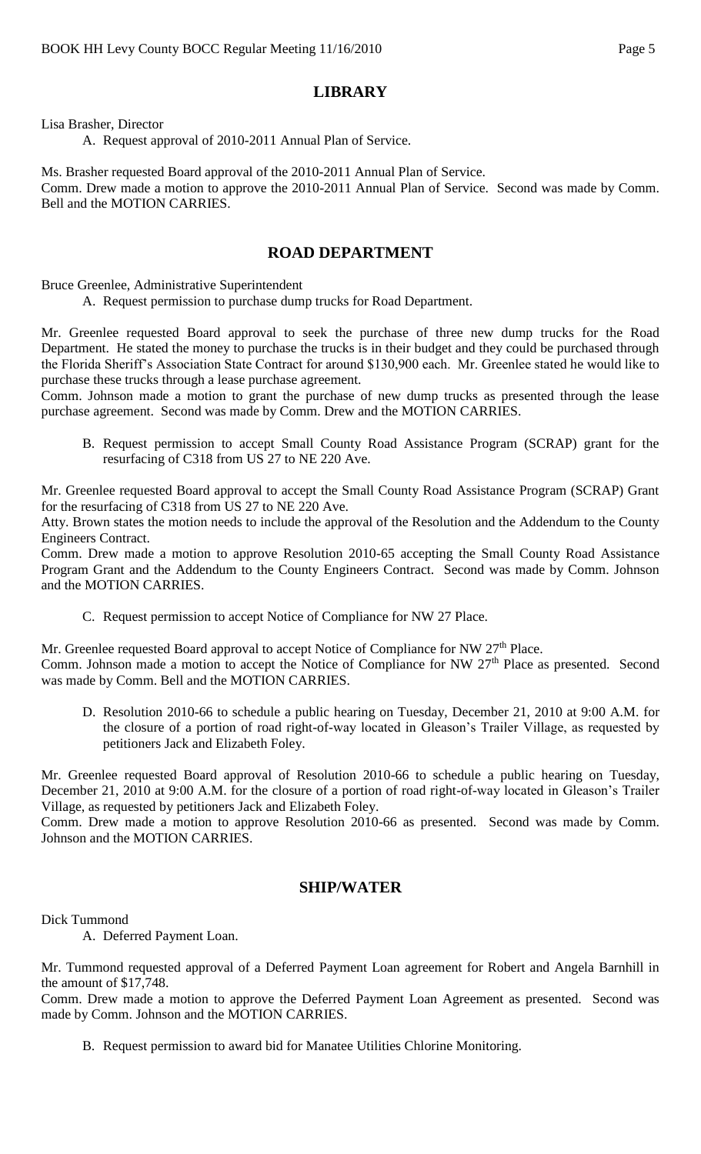## **LIBRARY**

Lisa Brasher, Director

A. Request approval of 2010-2011 Annual Plan of Service.

Ms. Brasher requested Board approval of the 2010-2011 Annual Plan of Service. Comm. Drew made a motion to approve the 2010-2011 Annual Plan of Service. Second was made by Comm. Bell and the MOTION CARRIES.

### **ROAD DEPARTMENT**

Bruce Greenlee, Administrative Superintendent

A. Request permission to purchase dump trucks for Road Department.

Mr. Greenlee requested Board approval to seek the purchase of three new dump trucks for the Road Department. He stated the money to purchase the trucks is in their budget and they could be purchased through the Florida Sheriff's Association State Contract for around \$130,900 each. Mr. Greenlee stated he would like to purchase these trucks through a lease purchase agreement.

Comm. Johnson made a motion to grant the purchase of new dump trucks as presented through the lease purchase agreement. Second was made by Comm. Drew and the MOTION CARRIES.

B. Request permission to accept Small County Road Assistance Program (SCRAP) grant for the resurfacing of C318 from US 27 to NE 220 Ave.

Mr. Greenlee requested Board approval to accept the Small County Road Assistance Program (SCRAP) Grant for the resurfacing of C318 from US 27 to NE 220 Ave.

Atty. Brown states the motion needs to include the approval of the Resolution and the Addendum to the County Engineers Contract.

Comm. Drew made a motion to approve Resolution 2010-65 accepting the Small County Road Assistance Program Grant and the Addendum to the County Engineers Contract. Second was made by Comm. Johnson and the MOTION CARRIES.

C. Request permission to accept Notice of Compliance for NW 27 Place.

Mr. Greenlee requested Board approval to accept Notice of Compliance for NW 27<sup>th</sup> Place. Comm. Johnson made a motion to accept the Notice of Compliance for NW 27<sup>th</sup> Place as presented. Second was made by Comm. Bell and the MOTION CARRIES.

D. Resolution 2010-66 to schedule a public hearing on Tuesday, December 21, 2010 at 9:00 A.M. for the closure of a portion of road right-of-way located in Gleason's Trailer Village, as requested by petitioners Jack and Elizabeth Foley.

Mr. Greenlee requested Board approval of Resolution 2010-66 to schedule a public hearing on Tuesday, December 21, 2010 at 9:00 A.M. for the closure of a portion of road right-of-way located in Gleason's Trailer Village, as requested by petitioners Jack and Elizabeth Foley.

Comm. Drew made a motion to approve Resolution 2010-66 as presented. Second was made by Comm. Johnson and the MOTION CARRIES.

## **SHIP/WATER**

Dick Tummond

A. Deferred Payment Loan.

Mr. Tummond requested approval of a Deferred Payment Loan agreement for Robert and Angela Barnhill in the amount of \$17,748.

Comm. Drew made a motion to approve the Deferred Payment Loan Agreement as presented. Second was made by Comm. Johnson and the MOTION CARRIES.

B. Request permission to award bid for Manatee Utilities Chlorine Monitoring.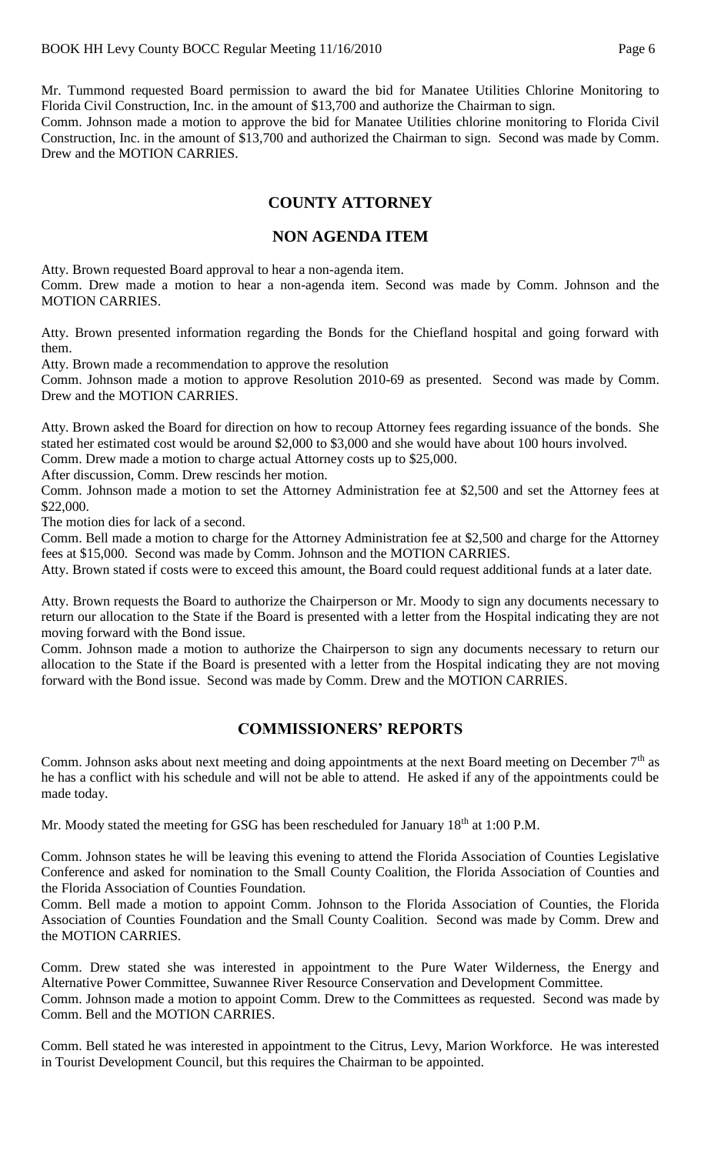Mr. Tummond requested Board permission to award the bid for Manatee Utilities Chlorine Monitoring to Florida Civil Construction, Inc. in the amount of \$13,700 and authorize the Chairman to sign.

Comm. Johnson made a motion to approve the bid for Manatee Utilities chlorine monitoring to Florida Civil Construction, Inc. in the amount of \$13,700 and authorized the Chairman to sign. Second was made by Comm. Drew and the MOTION CARRIES.

# **COUNTY ATTORNEY**

#### **NON AGENDA ITEM**

Atty. Brown requested Board approval to hear a non-agenda item.

Comm. Drew made a motion to hear a non-agenda item. Second was made by Comm. Johnson and the MOTION CARRIES.

Atty. Brown presented information regarding the Bonds for the Chiefland hospital and going forward with them.

Atty. Brown made a recommendation to approve the resolution

Comm. Johnson made a motion to approve Resolution 2010-69 as presented. Second was made by Comm. Drew and the MOTION CARRIES.

Atty. Brown asked the Board for direction on how to recoup Attorney fees regarding issuance of the bonds. She stated her estimated cost would be around \$2,000 to \$3,000 and she would have about 100 hours involved.

Comm. Drew made a motion to charge actual Attorney costs up to \$25,000.

After discussion, Comm. Drew rescinds her motion.

Comm. Johnson made a motion to set the Attorney Administration fee at \$2,500 and set the Attorney fees at \$22,000.

The motion dies for lack of a second.

Comm. Bell made a motion to charge for the Attorney Administration fee at \$2,500 and charge for the Attorney fees at \$15,000. Second was made by Comm. Johnson and the MOTION CARRIES.

Atty. Brown stated if costs were to exceed this amount, the Board could request additional funds at a later date.

Atty. Brown requests the Board to authorize the Chairperson or Mr. Moody to sign any documents necessary to return our allocation to the State if the Board is presented with a letter from the Hospital indicating they are not moving forward with the Bond issue.

Comm. Johnson made a motion to authorize the Chairperson to sign any documents necessary to return our allocation to the State if the Board is presented with a letter from the Hospital indicating they are not moving forward with the Bond issue. Second was made by Comm. Drew and the MOTION CARRIES.

## **COMMISSIONERS' REPORTS**

Comm. Johnson asks about next meeting and doing appointments at the next Board meeting on December 7<sup>th</sup> as he has a conflict with his schedule and will not be able to attend. He asked if any of the appointments could be made today.

Mr. Moody stated the meeting for GSG has been rescheduled for January  $18<sup>th</sup>$  at 1:00 P.M.

Comm. Johnson states he will be leaving this evening to attend the Florida Association of Counties Legislative Conference and asked for nomination to the Small County Coalition, the Florida Association of Counties and the Florida Association of Counties Foundation.

Comm. Bell made a motion to appoint Comm. Johnson to the Florida Association of Counties, the Florida Association of Counties Foundation and the Small County Coalition. Second was made by Comm. Drew and the MOTION CARRIES.

Comm. Drew stated she was interested in appointment to the Pure Water Wilderness, the Energy and Alternative Power Committee, Suwannee River Resource Conservation and Development Committee. Comm. Johnson made a motion to appoint Comm. Drew to the Committees as requested. Second was made by Comm. Bell and the MOTION CARRIES.

Comm. Bell stated he was interested in appointment to the Citrus, Levy, Marion Workforce. He was interested in Tourist Development Council, but this requires the Chairman to be appointed.